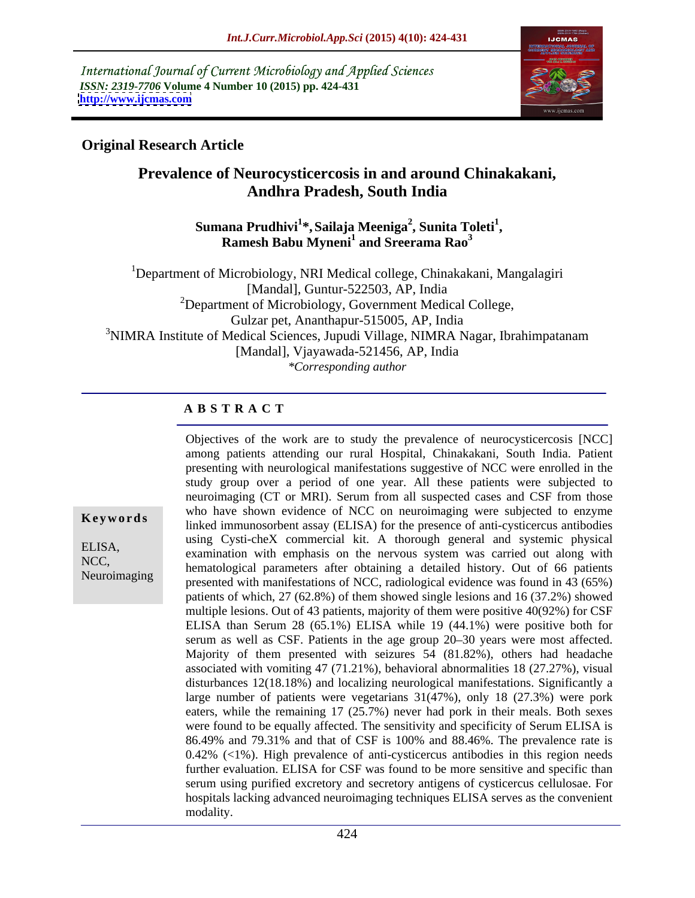International Journal of Current Microbiology and Applied Sciences *ISSN: 2319-7706* **Volume 4 Number 10 (2015) pp. 424-431 <http://www.ijcmas.com>**



# **Original Research Article**

# **Prevalence of Neurocysticercosis in and around Chinakakani, Andhra Pradesh, South India**

## **Sumana Prudhivi<sup>1</sup> \*,Sailaja Meeniga<sup>2</sup> , Sunita Toleti<sup>1</sup> , Ramesh Babu Myneni<sup>1</sup> and Sreerama Rao<sup>3</sup>**

<sup>1</sup>Department of Microbiology, NRI Medical college, Chinakakani, Mangalagiri [Mandal], Guntur-522503, AP, India  $2$ Department of Microbiology, Government Medical College, Gulzar pet, Ananthapur-515005, AP, India <sup>3</sup>NIMRA Institute of Medical Sciences, Jupudi Village, NIMRA Nagar, Ibrahimpatanam [Mandal], Vjayawada-521456, AP, India *\*Corresponding author*

# **A B S T R A C T**

Neuroimaging

Objectives of the work are to study the prevalence of neurocysticercosis [NCC] among patients attending our rural Hospital, Chinakakani, South India. Patient presenting with neurological manifestations suggestive of NCC were enrolled in the study group over a period of one year. All these patients were subjected to neuroimaging (CT or MRI). Serum from all suspected cases and CSF from those who have shown evidence of NCC on neuroimaging were subjected to enzyme **Keywords** linked immunosorbent assay (ELISA) for the presence of anti-cysticercus antibodies using Cysti-cheX commercial kit. A thorough general and systemic physical ELISA,<br>examination with emphasis on the nervous system was carried out along with NCC,<br>hematological parameters after obtaining a detailed history. Out of 66 patients presented with manifestations of NCC, radiological evidence wasfound in 43 (65%) patients of which, 27 (62.8%) of them showed single lesions and 16 (37.2%) showed multiple lesions. Out of 43 patients, majority of them were positive 40(92%) for CSF ELISA than Serum 28 (65.1%) ELISA while 19 (44.1%) were positive both for serum as well as CSF. Patients in the age group 20-30 years were most affected. Majority of them presented with seizures 54 (81.82%), others had headache associated with vomiting 47 (71.21%), behavioral abnormalities 18 (27.27%), visual disturbances 12(18.18%) and localizing neurological manifestations. Significantly a large number of patients were vegetarians 31(47%), only 18 (27.3%) were pork eaters, while the remaining 17 (25.7%) never had pork in their meals. Both sexes were found to be equally affected. The sensitivity and specificity of Serum ELISA is 86.49% and 79.31% and that of CSF is 100% and 88.46%. The prevalence rate is 0.42% (<1%). High prevalence of anti-cysticercus antibodies in this region needs further evaluation. ELISA for CSF was found to be more sensitive and specific than serum using purified excretory and secretory antigens of cysticercus cellulosae. For hospitals lacking advanced neuroimaging techniques ELISA serves as the convenient modality.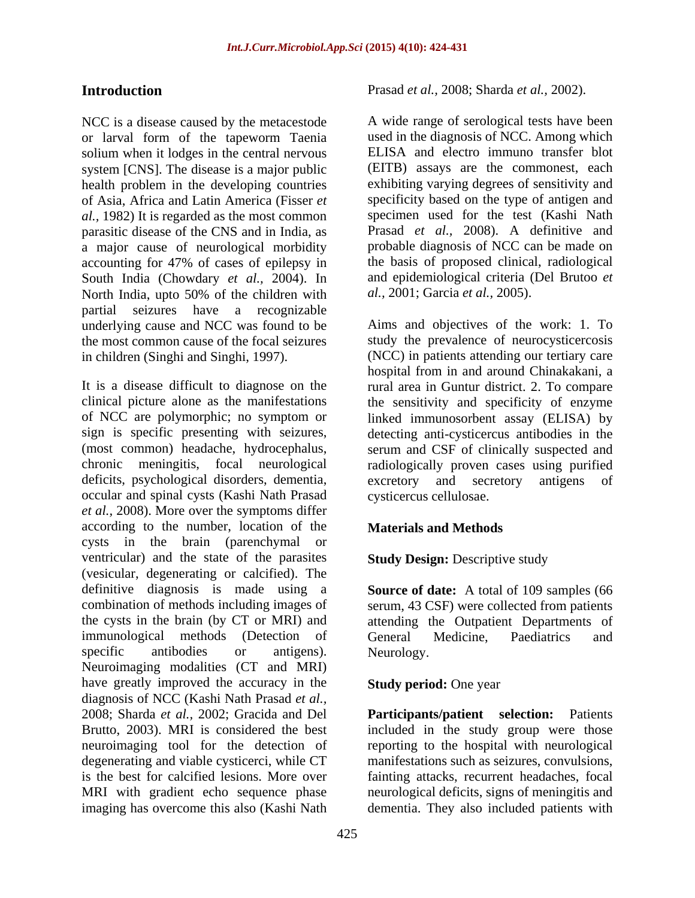NCC is a disease caused by the metacestode or larval form of the tapeworm Taenia solium when it lodges in the central nervous system [CNS]. The disease is a major public health problem in the developing countries of Asia, Africa and Latin America (Fisser *et al.,* 1982) It is regarded as the most common parasitic disease of the CNS and in India, as a major cause of neurological morbidity accounting for 47% of cases of epilepsy in South India (Chowdary *et al.,* 2004). In North India, upto 50% of the children with al., 2001; Garcia et al., 2005). partial seizures have a recognizable the most common cause of the focal seizures

It is a disease difficult to diagnose on the rural area in Guntur district. 2. To compare clinical picture alone as the manifestations the sensitivity and specificity of enzyme of NCC are polymorphic; no symptom or linked immunosorbent assay (ELISA) by sign is specific presenting with seizures, detecting anti-cysticercus antibodies in the (most common) headache, hydrocephalus, serum and CSF of clinically suspected and chronic meningitis, focal neurological radiologically proven cases using purified deficits, psychological disorders, dementia, excretory and secretory antigens of occular and spinal cysts (Kashi Nath Prasad *et al.,* 2008). More over the symptoms differ according to the number, location of the **Materials and Methods** cysts in the brain (parenchymal or ventricular) and the state of the parasites (vesicular, degenerating or calcified). The definitive diagnosis is made using a **Source of date:** A total of 109 samples (66 combination of methods including images of serum, 43 CSF) were collected from patients the cysts in the brain (by CT or MRI) and attending the Outpatient Departments of immunological methods (Detection of General Medicine, Paediatrics and specific antibodies or antigens). Neurology. Neuroimaging modalities (CT and MRI) have greatly improved the accuracy in the diagnosis of NCC (Kashi Nath Prasad *et al.,* 2008; Sharda *et al.,* 2002; Gracida and Del **Participants/patient selection:** Patients Brutto, 2003). MRI is considered the best included in the study group were those neuroimaging tool for the detection of reporting to the hospital with neurological degenerating and viable cysticerci, while CT is the best for calcified lesions. More over MRI with gradient echo sequence phase imaging has overcome this also (Kashi Nath dementia. They also included patients with

**Introduction** Prasad *et al.,* 2008; Sharda *et al.,* 2002).

A wide range of serological tests have been used in the diagnosis of NCC. Among which ELISA and electro immuno transfer blot (EITB) assays are the commonest, each exhibiting varying degrees of sensitivity and specificity based on the type of antigen and specimen used for the test (Kashi Nath Prasad *et al.,* 2008). A definitive and probable diagnosis of NCC can be made on the basis of proposed clinical, radiological and epidemiological criteria (Del Brutoo *et al.,* 2001; Garcia *et al.,* 2005).

underlying cause and NCC was found to be Aims and objectives of the work: 1. To in children (Singhi and Singhi, 1997). (NCC) in patients attending our tertiary care study the prevalence of neurocysticercosis hospital from in and around Chinakakani, a excretory and secretory antigens of cysticercus cellulosae.

# **Materials and Methods**

# **Study Design: Descriptive study**

General Medicine, Paediatrics and Neurology.

## **Study period:** One year

manifestations such as seizures, convulsions, fainting attacks, recurrent headaches, focal neurological deficits, signs of meningitis and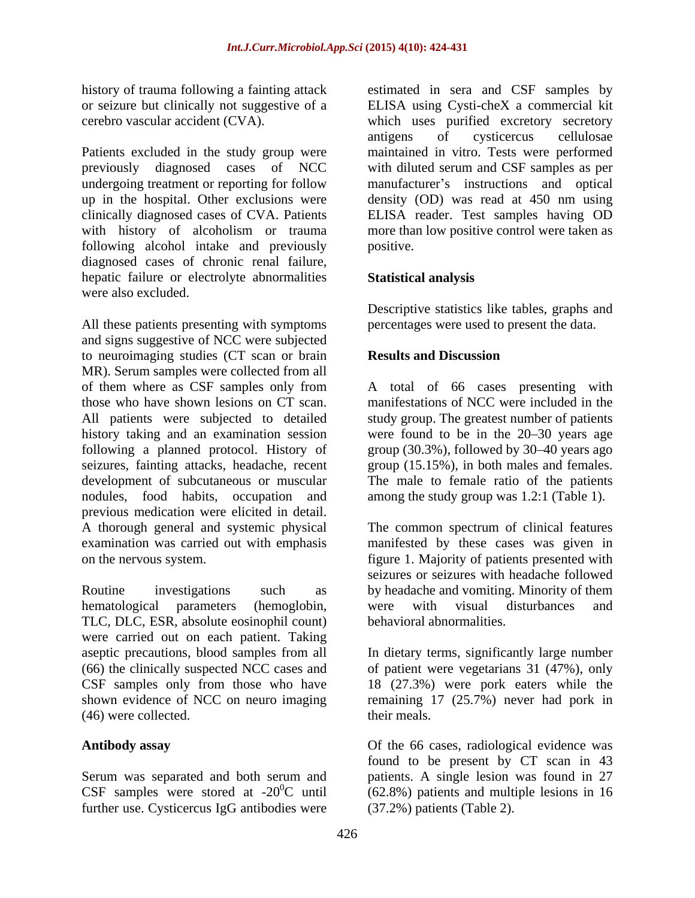Patients excluded in the study group were following alcohol intake and previously diagnosed cases of chronic renal failure, hepatic failure or electrolyte abnormalities **Statistical analysis** were also excluded.

All these patients presenting with symptoms and signs suggestive of NCC were subjected to neuroimaging studies (CT scan or brain Results and Discussion MR). Serum samples were collected from all of them where as CSF samples only from A total of 66 cases presenting with those who have shown lesions on CT scan. manifestations of NCC were included in the All patients were subjected to detailed study group. The greatest number of patients history taking and an examination session were found to be in the 20–30 years age following a planned protocol. History of group (30.3%), followed by 30–40 years ago seizures, fainting attacks, headache, recent development of subcutaneous or muscular The male to female ratio of the patients nodules, food habits, occupation and among the study group was 1.2:1 (Table 1). previous medication were elicited in detail. A thorough general and systemic physical The common spectrum of clinical features examination was carried out with emphasis manifested by these cases was given in on the nervous system. The networking of the network of patients presented with  $f(x)$  figure 1. Majority of patients presented with

Routine investigations such as by headache and vomiting. Minority of them hematological parameters (hemoglobin, TLC, DLC, ESR, absolute eosinophil count) were carried out on each patient. Taking aseptic precautions, blood samples from all In dietary terms, significantly large number (66) the clinically suspected NCC cases and of patient were vegetarians 31 (47%), only CSF samples only from those who have 18 (27.3%) were pork eaters while the shown evidence of NCC on neuro imaging (46) were collected.

further use. Cysticercus IgG antibodies were

history of trauma following a fainting attack estimated in sera and CSF samples by or seizure but clinically not suggestive of a ELISA using Cysti-cheX a commercial kit cerebro vascular accident (CVA). which uses purified excretory secretory previously diagnosed cases of NCC with diluted serum and CSF samples as per undergoing treatment or reporting for follow manufacturer's instructions and optical up in the hospital. Other exclusions were density (OD) was read at 450 nm using clinically diagnosed cases of CVA. Patients ELISA reader. Test samples having OD with history of alcoholism or trauma more than low positive control were taken as antigens of cysticercus cellulosae maintained in vitro. Tests were performed positive.

# **Statistical analysis**

Descriptive statistics like tables, graphs and percentages were used to present the data.

# **Results and Discussion**

group (15.15%), in both males and females.

seizures or seizures with headache followed were with visual disturbances and behavioral abnormalities.

remaining 17 (25.7%) never had pork in their meals.

Antibody assay **Antibody** assay **Of the 66 cases, radiological evidence** was Serum was separated and both serum and patients. Asingle lesion was found in 27 CSF samples were stored at -20<sup>0</sup>C until  $(62.8\%)$  patients and multiple lesions in 16 found to be present by CT scan in 43 (37.2%) patients (Table 2).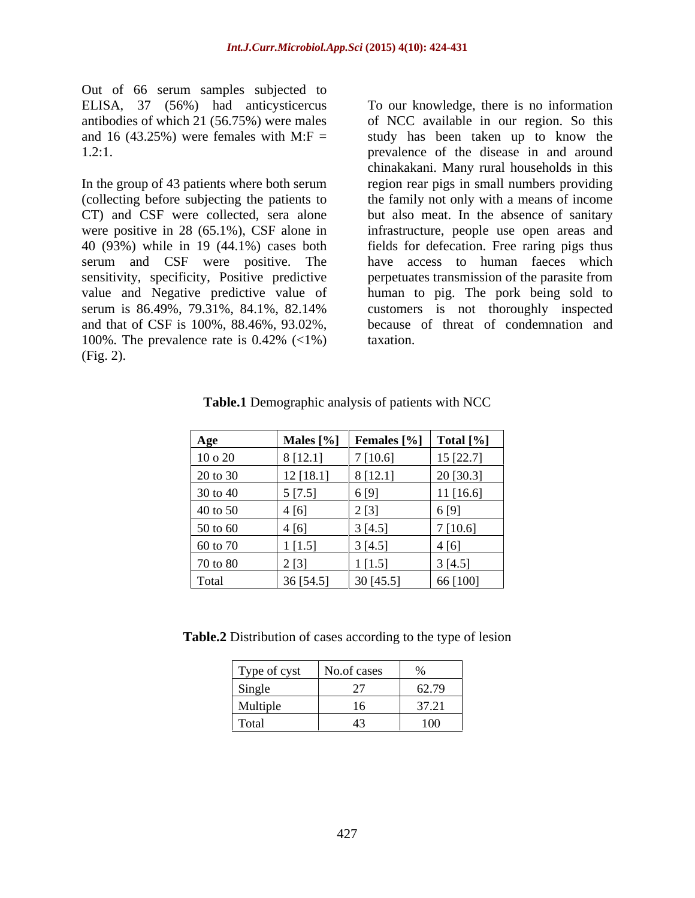Out of 66 serum samples subjected to

In the group of 43 patients where both serum (collecting before subjecting the patients to the family not only with a means of income CT) and CSF were collected, sera alone but also meat. In the absence of sanitary were positive in 28 (65.1%), CSF alone in infrastructure, people use open areas and 40 (93%) while in 19 (44.1%) cases both fields for defecation. Free raring pigs thus serum and CSF were positive. The sensitivity, specificity, Positive predictive value and Negative predictive value of human to pig. The pork being sold to serum is 86.49%, 79.31%, 84.1%, 82.14% customers is not thoroughly inspected and that of CSF is 100%, 88.46%, 93.02%, because of threat of condemnation and 100%. The prevalence rate is 0.42% (<1%) (Fig. 2).

ELISA, 37 (56%) had anticysticercus To our knowledge, there is no information antibodies of which 21 (56.75%) were males of NCC available in our region. So this and 16 (43.25%) were females with  $M: F =$  study has been taken up to know the 1.2:1. prevalence of the disease in and around chinakakani. Many rural households in this region rear pigs in small numbers providing have access to human faeces which perpetuates transmission of the parasite from taxation.

| <b>Age</b>  | Males $[\%]$ | <b>Females</b> $\lceil \frac{9}{6} \rceil$ | Total $[\%]$ |
|-------------|--------------|--------------------------------------------|--------------|
| $10$ o $20$ | 8[12.1]      | 7[10.6]                                    | $15$ [22.7]  |
| 20 to 30    | $12$ [18.1]  | 8[12.1]                                    | 20 [30.3]    |
| 30 to 40    | 5[7.5]       | 6 [9]                                      | $11$ [16.6]  |
| 40 to 50    | 4[6]         | 2[3]                                       | 6[9]         |
| 50 to 60    | 4[6]         | 3[4.5]                                     | 7[10.6]      |
| 60 to 70    | 1[1.5]       | 3[4.5]                                     | 4[6]         |
| 70 to 80    | 2[3]         | 1[1.5]                                     | 3[4.5]       |
| Total       | 36 [54.5]    | 30 $[45.5]$                                | 66 [100]     |

**Table.1** Demographic analysis of patients with NCC

**Table.2** Distribution of cases according to the type of lesion

| Type of cyst   | No.of cases |                                              |
|----------------|-------------|----------------------------------------------|
| Single<br>____ | $\sim$      | 62.70                                        |
| Multiple       | 16          | 27.21<br>$\sim$ $\prime$<br>, , <u>, ,</u> i |
| Total          | 43          | 100                                          |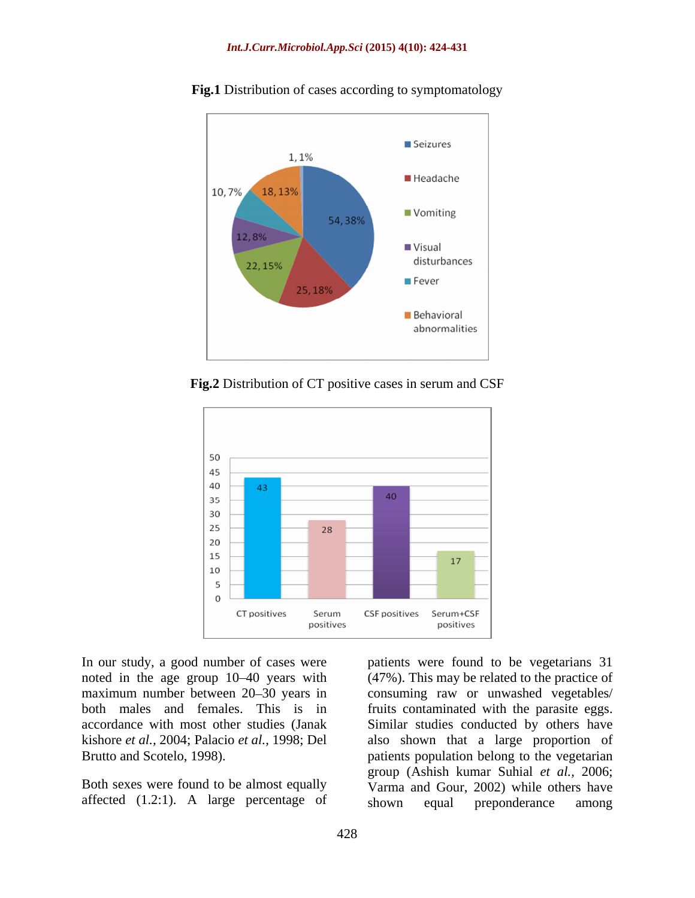

**Fig.1** Distribution of cases according to symptomatology

**Fig.2** Distribution of CT positive cases in serum and CSF



In our study, a good number of cases were patients were found to be vegetarians 31 noted in the age group 10–40 years with (47%). This may be related to the practice of maximum number between 20–30 years in consuming raw or unwashed vegetables/ both males and females. This is in fruits contaminated with the parasite eggs. accordance with most other studies (Janak Similar studies conducted by others have kishore *et al.,* 2004; Palacio *et al.,* 1998; Del also shown that a large proportion of Brutto and Scotelo, 1998). patients population belong to the vegetarian

Both sexes were found to be almost equally

affected (1.2:1). A large percentage of shown equal preponderance among group (Ashish kumar Suhial *et al.,* 2006; Varma and Gour, 2002) while others have shown equal preponderance among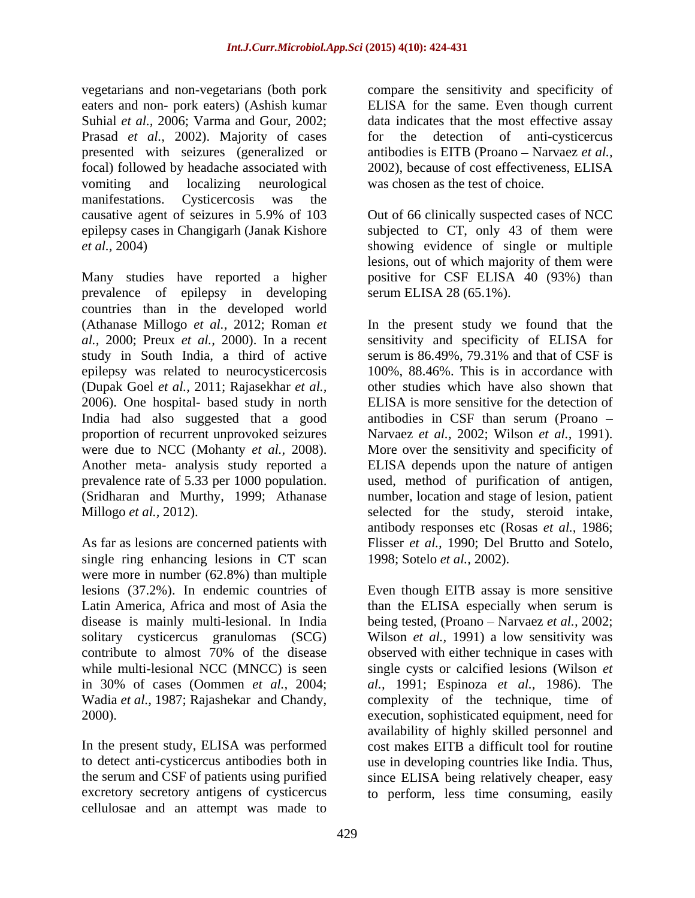Suhial *et al.,* 2006; Varma and Gour, 2002; Prasad *et al.*, 2002). Majority of cases for the vomiting and localizing neurological was chosen as the test of choice. manifestations. Cysticercosis was the epilepsy cases in Changigarh (Janak Kishore

Many studies have reported a higher prevalence of epilepsy in developing countries than in the developed world study in South India, a third of active serum is 86.49%, 79.31% and that of CSF is epilepsy was related to neurocysticercosis (Dupak Goel *et al.,* 2011; Rajasekhar *et al.,* 2006). One hospital- based study in north India had also suggested that a good prevalence rate of 5.33 per 1000 population.

single ring enhancing lesions in CT scan were more in number (62.8%) than multiple solitary cysticercus granulomas (SCG)<br>contribute to almost 70% of the disease

to detect anti-cysticercus antibodies both in excretory secretory antigens of cysticercus to perform, less time consuming, easilycellulosae and an attempt was made to

vegetarians and non-vegetarians (both pork compare the sensitivity and specificity of eaters and non- pork eaters) (Ashish kumar ELISA for the same. Even though current presented with seizures (generalized or antibodies is EITB (Proano – Narvaez *et al.*, focal) followed by headache associated with 2002), because of cost effectiveness, ELISA data indicates that the most effective assay detection of anti-cysticercus was chosen as the test of choice.

causative agent of seizures in 5.9% of 103 *et al.,* 2004) showing evidence of single or multiple Out of 66 clinically suspected cases of NCC subjected to CT, only 43 of them were lesions, out of which majority of them were positive for CSF ELISA 40 (93%) than serum ELISA 28 (65.1%).

(Athanase Millogo *et al.,* 2012; Roman *et*  In the present study we found that the *al.,* 2000; Preux *et al.,* 2000).In a recent sensitivity and specificity of ELISA for proportion of recurrent unprovoked seizures Narvaez *et al.,* 2002; Wilson *et al.,* 1991). were due to NCC (Mohanty *et al.,* 2008). More over the sensitivity and specificity of Another meta- analysis study reported a ELISA depends upon the nature of antigen (Sridharan and Murthy, 1999; Athanase number, location and stage of lesion, patient Millogo *et al.*, 2012). Selected for the study, steroid intake, As far as lesions are concerned patients with Flisser *et al.,* 1990; Del Brutto and Sotelo, serum is 86.49%, 79.31% and that of CSF is 100%, 88.46%. This is in accordance with other studies which have also shown that ELISA is more sensitive for the detection of antibodies in CSF than serum (Proano used, method of purification of antigen, antibody responses etc (Rosas *et al.,* 1986; 1998; Sotelo *et al.,* 2002).

lesions (37.2%). In endemic countries of Even though EITB assay is more sensitive Latin America, Africa and most of Asia the than the ELISA especially when serum is disease is mainly multi-lesional. In India being tested, (Proano – Narvaez *et al.*, 2002; contribute to almost 70% of the disease observed with either technique in cases with while multi-lesional NCC (MNCC) is seen single cysts or calcified lesions (Wilson *et* in 30% of cases (Oommen *et al.,* 2004; *al.,* 1991; Espinoza *et al.,* 1986). The Wadia *et al.*, 1987; Rajashekar and Chandy, complexity of the technique, time of 2000).<br>
2000). execution, sophisticated equipment, need for<br>
12000). execution, sophisticated equipment, need for<br>
2000).<br>
2000). execution, sophisticated equipment, need for<br>
2000). the serum and CSF of patients using purified since ELISA being relatively cheaper, easy Wilson *et al.,* 1991) a low sensitivity was execution, sophisticated equipment, need for availability of highly skilled personnel and cost makes EITB a difficult tool for routine use in developing countries like India. Thus,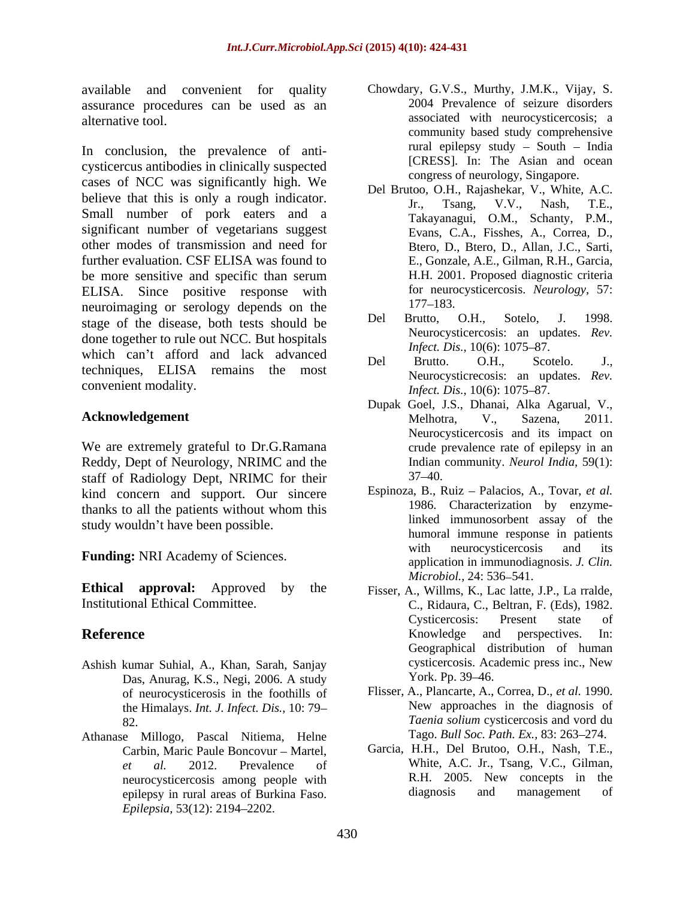assurance procedures can be used as an

In conclusion, the prevalence of anti cysticercus antibodies in clinically suspected cases of NCC was significantly high. We believe that this is only a rough indicator.<br>
Figure 15 Tr., Tsang, V.V., Nash, T.E., Small number of pork eaters and a significant number of vegetarians suggest other modes of transmission and need for further evaluation. CSF ELISA was found to be more sensitive and specific than serum ELISA. Since positive response with for neuron-<br>neuron-<br> $177-183$ . neuroimaging or serology depends on the  $\frac{177-183}{17}$ .<br>stage of the discase, both tests should be Del Brutto, O.H., Sotelo, J. 1998. stage of the disease, both tests should be done together to rule out NCC. But hospitals<br>*Infect. Dis.*, 10(6): 1075–87. which can't afford and lack advanced<br>Del Brutto. O.H., Scotelo. J., techniques, ELISA remains the most convenient modality.<br>
Infect. Dis., 10(6): 1075–87.

We are extremely grateful to Dr.G.Ramana Reddy, Dept of Neurology, NRIMC and the staff of Radiology Dept, NRIMC for their kind concern and support. Our sincere thanks to all the patients without whom this study wouldn't have been possible.

**Ethical approval:** Approved by the Fisser, A., Willms, K., Lac latte, J.P., La rralde,

- Das, Anurag, K.S., Negi, 2006. A study of neurocysticerosis in the foothills of the Himalays. *Int. J. Infect. Dis.,* 10: 79
- Athanase Millogo, Pascal Nitiema, Helne epilepsy in rural areas of Burkina Faso. *Epilepsia,* 53(12): 2194–2202.
- available and convenient for quality Chowdary, G.V.S., Murthy, J.M.K., Vijay, S. alternative tool. associated with neurocysticercosis; a 2004 Prevalence of seizure disorders community based study comprehensive rural epilepsy study  $-$  South  $-$  India [CRESS]. In: The Asian and ocean congress of neurology, Singapore.
	- Del Brutoo, O.H., Rajashekar, V., White, A.C. Jr., Tsang, V.V., Nash, T.E., Takayanagui, O.M., Schanty, P.M., Evans, C.A., Fisshes, A., Correa, D., Btero, D., Btero, D., Allan, J.C., Sarti, E., Gonzale, A.E., Gilman, R.H., Garcia, H.H. 2001. Proposed diagnostic criteria for neurocysticercosis. *Neurology,* 57: 177 183.
	- Del Brutto, O.H., Sotelo, J. 1998. Neurocysticercosis: an updates. *Rev. Infect. Dis.,* 10(6): 1075–87.
	- Del Brutto. O.H., Scotelo. J., Neurocysticrecosis: an updates. *Rev. Infect. Dis.,* 10(6): 1075–87.
- **Acknowledgement** Melhotra, V., Sazena, 2011. Dupak Goel, J.S., Dhanai, Alka Agarual, V., Melhotra, V., Sazena, 2011. Neurocysticercosis and its impact on crude prevalence rate of epilepsy in an Indian community. *Neurol India,* 59(1):  $37 - 40.$
- **Funding:** NRI Academy of Sciences. Espinoza, B., Ruiz – Palacios, A., Tovar, *et al.* 1986. Characterization by enzymelinked immunosorbent assay of the humoral immune response in patients with neurocysticercosis and its application in immunodiagnosis. *J. Clin. Microbiol.,* 24: 536–541.
- Institutional Ethical Committee. C., Ridaura, C., Beltran, F. (Eds), 1982. **Reference** and **Reference Exercise 2 REFERENCE EXECUTE: REFERENCE EXECUTE: EXECUTE: EXECUTE: EXECUTE: EXECUTE: EXECUTE: EXECUTE: EXECUTE: EXECUTE: EXECUTE: EXECUTE: EXECUTE: EXECUTE: EX** Ashish kumar Suhial, A., Khan, Sarah, Sanjay cysticercosis. Academic press inc., New<br>Das Anurag K.S. Negi 2006 A study York. Pp. 39–46. Cysticercosis: Present state of Knowledge and perspectives. In: Geographical distribution of human cysticercosis. Academic press inc., New York. Pp. 39–46.
	- 82. *Taenia solium* cysticercosis and vord du Flisser, A., Plancarte, A., Correa, D., *et al.* 1990. New approaches in the diagnosis of Tago. *Bull Soc. Path. Ex.*, 83: 263–274.
	- Carbin, Maric Paule Boncovur Martel, Garcia, H.H., Del Brutoo, O.H., Nash, T.E., *et al.* 2012. Prevalence of White, A.C. Jr., Tsang, V.C., Gilman, neurocysticercosis among people with <br>enilensy in rural areas of Burkina Faso. <br>diagnosis and management of R.H. 2005. New concepts in the diagnosis and management of